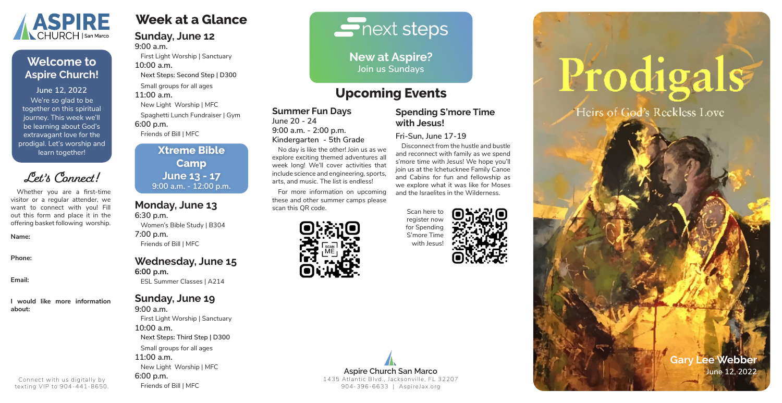**Week at a Glance**

## **Sunday, June 12 9:00 a.m.**

First Light Worship | Sanctuary **10:00 a.m. Next Steps: Second Step | D300**

Small groups for all ages

**11:00 a.m.**

New Light Worship | MFC

Spaghetti Lunch Fundraiser | Gym

**6:00 p.m.**

Friends of Bill | MFC

# **Monday, June 13 6:30 p.m.**

Women's Bible Study | B304 **7:00 p.m.** Friends of Bill | MFC

# **Wednesday, June 15 6:00 p.m.**

ESL Summer Classes | A214

# **Sunday, June 19**

**9:00 a.m.** First Light Worship | Sanctuary **10:00 a.m. Next Steps: Third Step | D300** Small groups for all ages **11:00 a.m.** New Light Worship | MFC **6:00 p.m.** Friends of Bill | MFC

# $\blacksquare$  next steps

# **Summer Fun Days**

**June 20 - 24 9:00 a.m. - 2:00 p.m. Kindergarten - 5th Grade**

No day is like the other! Join us as we explore exciting themed adventures all week long! We'll cover activities that include science and engineering, sports, arts, and music. The list is endless!

For more information on upcoming these and other summer camps please scan this QR code.





# **Spending S'more Time with Jesus!**

**Fri-Sun, June 17-19**

Disconnect from the hustle and bustle and reconnect with family as we spend s'more time with Jesus! We hope you'll join us at the Ichetucknee Family Canoe and Cabins for fun and fellowship as we explore what it was like for Moses and the Israelites in the Wilderness.

**New at Aspire? Join us Sundays**

We're so glad to be together on this spiritual journey. This week we'll be learning about God's extravagant love for the prodigal. Let's worship and learn together! **June 12, 2022**



# **Welcome to Aspire Church!**

**Gary Lee Webber**



Whether you are a first-time visitor or a regular attender, we want to connect with you! Fill out this form and place it in the offering basket following worship.

**Name:**

**Phone:**

**Email:**

**I would like more information about:**

**Let's Connect!**

# Connect with us digitally by texting VIP to 904-441-8650.

# **Upcoming Events**

Scan here to register now for Spending S'more Time with Jesus!

# Prodigals Heirs of God's Reckless Love

# **Xtreme Bible Camp June 13 - 17 9:00 a.m. - 12:00 p.m.**